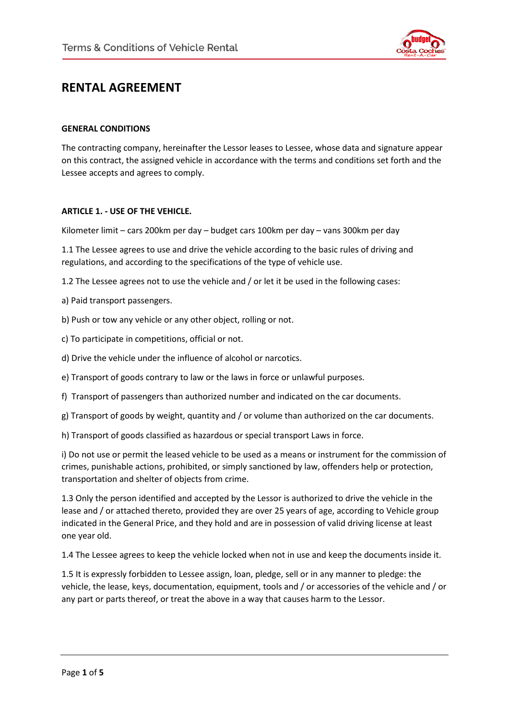

# **RENTAL AGREEMENT**

#### **GENERAL CONDITIONS**

The contracting company, hereinafter the Lessor leases to Lessee, whose data and signature appear on this contract, the assigned vehicle in accordance with the terms and conditions set forth and the Lessee accepts and agrees to comply.

#### **ARTICLE 1. - USE OF THE VEHICLE.**

Kilometer limit – cars 200km per day – budget cars 100km per day – vans 300km per day

1.1 The Lessee agrees to use and drive the vehicle according to the basic rules of driving and regulations, and according to the specifications of the type of vehicle use.

1.2 The Lessee agrees not to use the vehicle and / or let it be used in the following cases:

a) Paid transport passengers.

b) Push or tow any vehicle or any other object, rolling or not.

c) To participate in competitions, official or not.

d) Drive the vehicle under the influence of alcohol or narcotics.

e) Transport of goods contrary to law or the laws in force or unlawful purposes.

f) Transport of passengers than authorized number and indicated on the car documents.

g) Transport of goods by weight, quantity and / or volume than authorized on the car documents.

h) Transport of goods classified as hazardous or special transport Laws in force.

i) Do not use or permit the leased vehicle to be used as a means or instrument for the commission of crimes, punishable actions, prohibited, or simply sanctioned by law, offenders help or protection, transportation and shelter of objects from crime.

1.3 Only the person identified and accepted by the Lessor is authorized to drive the vehicle in the lease and / or attached thereto, provided they are over 25 years of age, according to Vehicle group indicated in the General Price, and they hold and are in possession of valid driving license at least one year old.

1.4 The Lessee agrees to keep the vehicle locked when not in use and keep the documents inside it.

1.5 It is expressly forbidden to Lessee assign, loan, pledge, sell or in any manner to pledge: the vehicle, the lease, keys, documentation, equipment, tools and / or accessories of the vehicle and / or any part or parts thereof, or treat the above in a way that causes harm to the Lessor.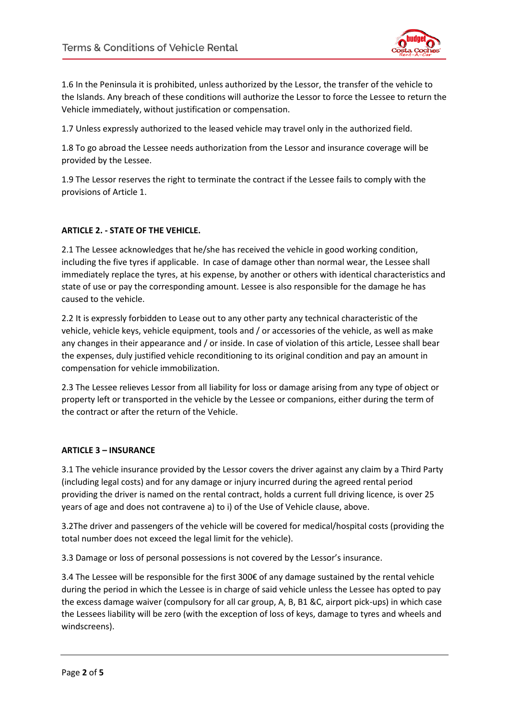

1.6 In the Peninsula it is prohibited, unless authorized by the Lessor, the transfer of the vehicle to the Islands. Any breach of these conditions will authorize the Lessor to force the Lessee to return the Vehicle immediately, without justification or compensation.

1.7 Unless expressly authorized to the leased vehicle may travel only in the authorized field.

1.8 To go abroad the Lessee needs authorization from the Lessor and insurance coverage will be provided by the Lessee.

1.9 The Lessor reserves the right to terminate the contract if the Lessee fails to comply with the provisions of Article 1.

## **ARTICLE 2. - STATE OF THE VEHICLE.**

2.1 The Lessee acknowledges that he/she has received the vehicle in good working condition, including the five tyres if applicable. In case of damage other than normal wear, the Lessee shall immediately replace the tyres, at his expense, by another or others with identical characteristics and state of use or pay the corresponding amount. Lessee is also responsible for the damage he has caused to the vehicle.

2.2 It is expressly forbidden to Lease out to any other party any technical characteristic of the vehicle, vehicle keys, vehicle equipment, tools and / or accessories of the vehicle, as well as make any changes in their appearance and / or inside. In case of violation of this article, Lessee shall bear the expenses, duly justified vehicle reconditioning to its original condition and pay an amount in compensation for vehicle immobilization.

2.3 The Lessee relieves Lessor from all liability for loss or damage arising from any type of object or property left or transported in the vehicle by the Lessee or companions, either during the term of the contract or after the return of the Vehicle.

#### **ARTICLE 3 – INSURANCE**

3.1 The vehicle insurance provided by the Lessor covers the driver against any claim by a Third Party (including legal costs) and for any damage or injury incurred during the agreed rental period providing the driver is named on the rental contract, holds a current full driving licence, is over 25 years of age and does not contravene a) to i) of the Use of Vehicle clause, above.

3.2The driver and passengers of the vehicle will be covered for medical/hospital costs (providing the total number does not exceed the legal limit for the vehicle).

3.3 Damage or loss of personal possessions is not covered by the Lessor's insurance.

3.4 The Lessee will be responsible for the first 300€ of any damage sustained by the rental vehicle during the period in which the Lessee is in charge of said vehicle unless the Lessee has opted to pay the excess damage waiver (compulsory for all car group, A, B, B1 &C, airport pick-ups) in which case the Lessees liability will be zero (with the exception of loss of keys, damage to tyres and wheels and windscreens).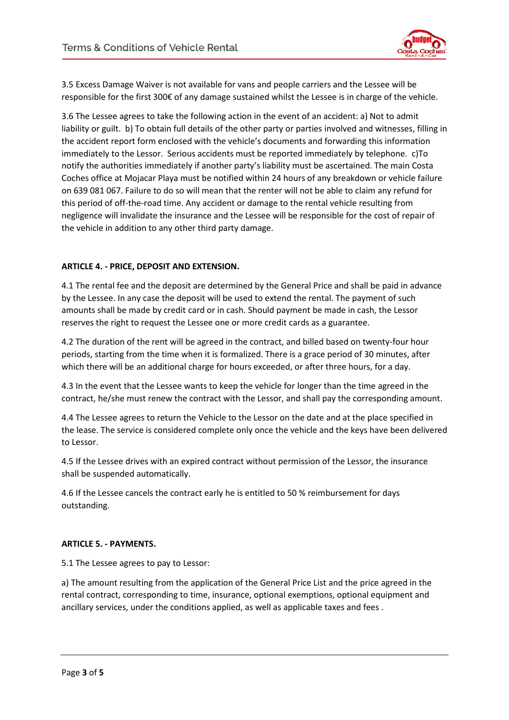

3.5 Excess Damage Waiver is not available for vans and people carriers and the Lessee will be responsible for the first 300€ of any damage sustained whilst the Lessee is in charge of the vehicle.

3.6 The Lessee agrees to take the following action in the event of an accident: a) Not to admit liability or guilt. b) To obtain full details of the other party or parties involved and witnesses, filling in the accident report form enclosed with the vehicle's documents and forwarding this information immediately to the Lessor. Serious accidents must be reported immediately by telephone. c)To notify the authorities immediately if another party's liability must be ascertained. The main Costa Coches office at Mojacar Playa must be notified within 24 hours of any breakdown or vehicle failure on 639 081 067. Failure to do so will mean that the renter will not be able to claim any refund for this period of off-the-road time. Any accident or damage to the rental vehicle resulting from negligence will invalidate the insurance and the Lessee will be responsible for the cost of repair of the vehicle in addition to any other third party damage.

## **ARTICLE 4. - PRICE, DEPOSIT AND EXTENSION.**

4.1 The rental fee and the deposit are determined by the General Price and shall be paid in advance by the Lessee. In any case the deposit will be used to extend the rental. The payment of such amounts shall be made by credit card or in cash. Should payment be made in cash, the Lessor reserves the right to request the Lessee one or more credit cards as a guarantee.

4.2 The duration of the rent will be agreed in the contract, and billed based on twenty-four hour periods, starting from the time when it is formalized. There is a grace period of 30 minutes, after which there will be an additional charge for hours exceeded, or after three hours, for a day.

4.3 In the event that the Lessee wants to keep the vehicle for longer than the time agreed in the contract, he/she must renew the contract with the Lessor, and shall pay the corresponding amount.

4.4 The Lessee agrees to return the Vehicle to the Lessor on the date and at the place specified in the lease. The service is considered complete only once the vehicle and the keys have been delivered to Lessor.

4.5 If the Lessee drives with an expired contract without permission of the Lessor, the insurance shall be suspended automatically.

4.6 If the Lessee cancels the contract early he is entitled to 50 % reimbursement for days outstanding.

#### **ARTICLE 5. - PAYMENTS.**

5.1 The Lessee agrees to pay to Lessor:

a) The amount resulting from the application of the General Price List and the price agreed in the rental contract, corresponding to time, insurance, optional exemptions, optional equipment and ancillary services, under the conditions applied, as well as applicable taxes and fees .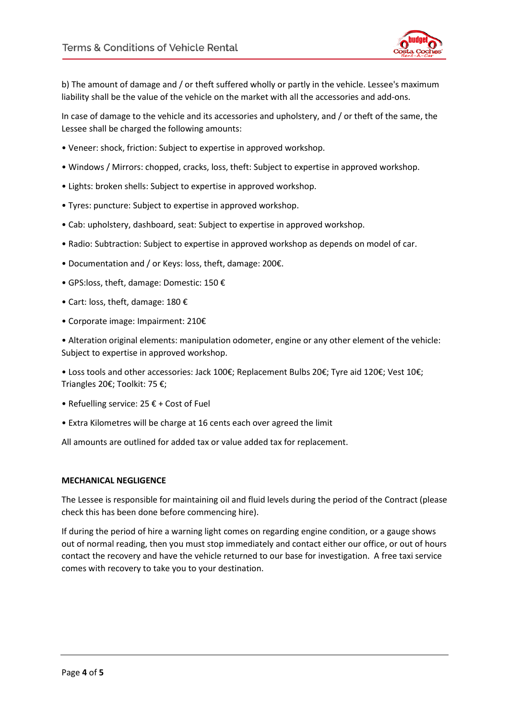

b) The amount of damage and / or theft suffered wholly or partly in the vehicle. Lessee's maximum liability shall be the value of the vehicle on the market with all the accessories and add-ons.

In case of damage to the vehicle and its accessories and upholstery, and / or theft of the same, the Lessee shall be charged the following amounts:

- Veneer: shock, friction: Subject to expertise in approved workshop.
- Windows / Mirrors: chopped, cracks, loss, theft: Subject to expertise in approved workshop.
- Lights: broken shells: Subject to expertise in approved workshop.
- Tyres: puncture: Subject to expertise in approved workshop.
- Cab: upholstery, dashboard, seat: Subject to expertise in approved workshop.
- Radio: Subtraction: Subject to expertise in approved workshop as depends on model of car.
- Documentation and / or Keys: loss, theft, damage: 200€.
- GPS:loss, theft, damage: Domestic: 150 €
- Cart: loss, theft, damage: 180 €
- Corporate image: Impairment: 210€

• Alteration original elements: manipulation odometer, engine or any other element of the vehicle: Subject to expertise in approved workshop.

• Loss tools and other accessories: Jack 100€; Replacement Bulbs 20€; Tyre aid 120€; Vest 10€; Triangles 20€; Toolkit: 75 €;

- Refuelling service:  $25 \notin +$  Cost of Fuel
- Extra Kilometres will be charge at 16 cents each over agreed the limit

All amounts are outlined for added tax or value added tax for replacement.

#### **MECHANICAL NEGLIGENCE**

The Lessee is responsible for maintaining oil and fluid levels during the period of the Contract (please check this has been done before commencing hire).

If during the period of hire a warning light comes on regarding engine condition, or a gauge shows out of normal reading, then you must stop immediately and contact either our office, or out of hours contact the recovery and have the vehicle returned to our base for investigation. A free taxi service comes with recovery to take you to your destination.